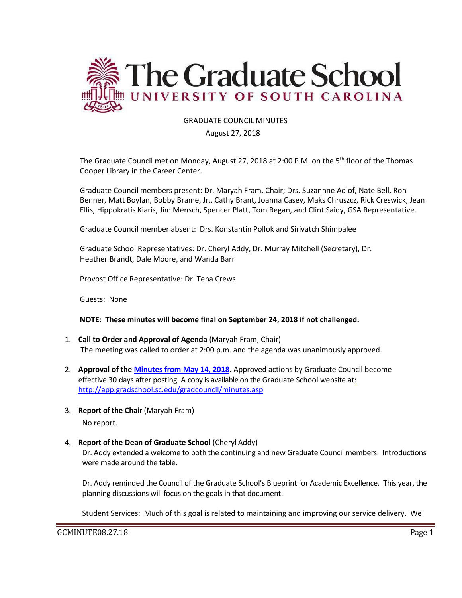

### GRADUATE COUNCIL MINUTES

#### August 27, 2018

The Graduate Council met on Monday, August 27, 2018 at 2:00 P.M. on the 5<sup>th</sup> floor of the Thomas Cooper Library in the Career Center.

Graduate Council members present: Dr. Maryah Fram, Chair; Drs. Suzannne Adlof, Nate Bell, Ron Benner, Matt Boylan, Bobby Brame, Jr., Cathy Brant, Joanna Casey, Maks Chruszcz, Rick Creswick, Jean Ellis, Hippokratis Kiaris, Jim Mensch, Spencer Platt, Tom Regan, and Clint Saidy, GSA Representative.

Graduate Council member absent: Drs. Konstantin Pollok and Sirivatch Shimpalee

Graduate School Representatives: Dr. Cheryl Addy, Dr. Murray Mitchell (Secretary), Dr. Heather Brandt, Dale Moore, and Wanda Barr

Provost Office Representative: Dr. Tena Crews

Guests: None

#### **NOTE: These minutes will become final on September 24, 2018 if not challenged.**

- 1. **Call to Order and Approval of Agenda** (Maryah Fram, Chair) The meeting was called to order at 2:00 p.m. and the agenda was unanimously approved.
- 2. **Approval of the [Minutes from May 14, 2018.](http://gradschool.sc.edu/facstaff/gradcouncil/2017/GCMINUTESMAY142018MM.pdf)** Approved actions by Graduate Council become effective 30 days after posting. A copy is available on the Graduate School website at[:](http://app.gradschool.sc.edu/gradcouncil/minutes.asp) <http://app.gradschool.sc.edu/gradcouncil/minutes.asp>
- 3. **Report of the Chair** (Maryah Fram) No report.

#### 4. **Report of the Dean of Graduate School** (Cheryl Addy)

Dr. Addy extended a welcome to both the continuing and new Graduate Council members. Introductions were made around the table.

Dr. Addy reminded the Council of the Graduate School's Blueprint for Academic Excellence. This year, the planning discussions will focus on the goals in that document.

Student Services: Much of this goal is related to maintaining and improving our service delivery. We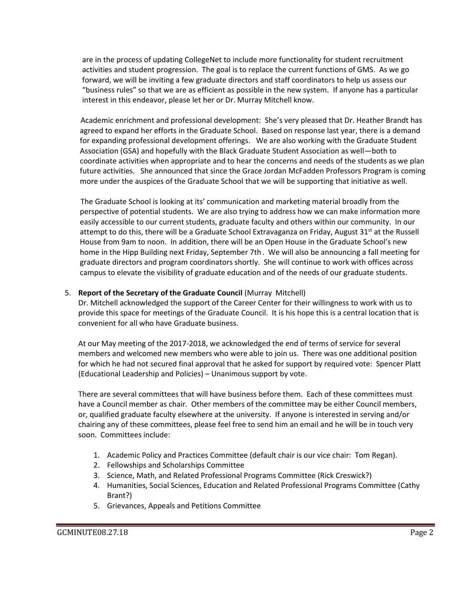are in the process of updating CollegeNet to include more functionality for student recruitment activities and student progression. The goal is to replace the current functions of GMS. As we go forward, we will be inviting a few graduate directors and staff coordinators to help us assess our "business rules" so that we are as efficient as possible in the new system. If anyone has a particular interest in this endeavor, please let her or Dr. Murray Mitchell know.

Academic enrichment and professional development: She's very pleased that Dr. Heather Brandt has agreed to expand her efforts in the Graduate School. Based on response last year, there is a demand for expanding professional development offerings. We are also working with the Graduate Student Association (GSA) and hopefully with the Black Graduate Student Association as well—both to coordinate activities when appropriate and to hear the concerns and needs of the students as we plan future activities. She announced that since the Grace Jordan McFadden Professors Program is coming more under the auspices of the Graduate School that we will be supporting that initiative as well.

The Graduate School is looking at its' communication and marketing material broadly from the perspective of potential students. We are also trying to address how we can make information more easily accessible to our current students, graduate faculty and others within our community. In our attempt to do this, there will be a Graduate School Extravaganza on Friday, August  $31<sup>st</sup>$  at the Russell House from 9am to noon. In addition, there will be an Open House in the Graduate School's new home in the Hipp Building next Friday, September 7th. We will also be announcing a fall meeting for graduate directors and program coordinators shortly. She will continue to work with offices across campus to elevate the visibility of graduate education and of the needs of our graduate students.

## 5. **Report of the Secretary of the Graduate Council** (Murray Mitchell)

Dr. Mitchell acknowledged the support of the Career Center for their willingness to work with us to provide this space for meetings of the Graduate Council. It is his hope this is a central location that is convenient for all who have Graduate business.

At our May meeting of the 2017-2018, we acknowledged the end of terms of service for several members and welcomed new members who were able to join us. There was one additional position for which he had not secured final approval that he asked for support by required vote: Spencer Platt (Educational Leadership and Policies) – Unanimous support by vote.

There are several committees that will have business before them. Each of these committees must have a Council member as chair. Other members of the committee may be either Council members, or, qualified graduate faculty elsewhere at the university. If anyone is interested in serving and/or chairing any of these committees, please feel free to send him an email and he will be in touch very soon. Committees include:

- 1. Academic Policy and Practices Committee (default chair is our vice chair: Tom Regan).
- 2. Fellowships and Scholarships Committee
- 3. Science, Math, and Related Professional Programs Committee (Rick Creswick?)
- 4. Humanities, Social Sciences, Education and Related Professional Programs Committee (Cathy Brant?)
- 5. Grievances, Appeals and Petitions Committee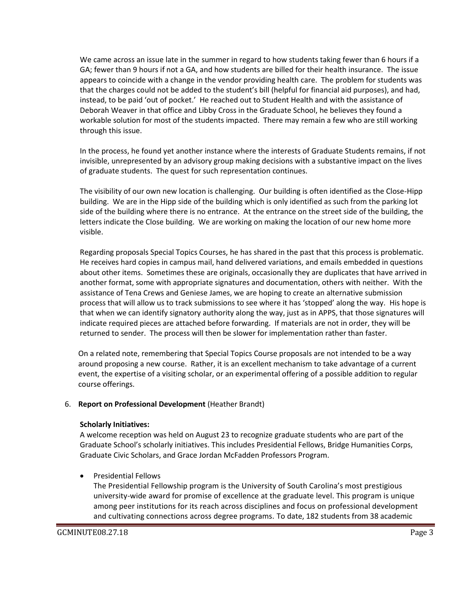We came across an issue late in the summer in regard to how students taking fewer than 6 hours if a GA; fewer than 9 hours if not a GA, and how students are billed for their health insurance. The issue appears to coincide with a change in the vendor providing health care. The problem for students was that the charges could not be added to the student's bill (helpful for financial aid purposes), and had, instead, to be paid 'out of pocket.' He reached out to Student Health and with the assistance of Deborah Weaver in that office and Libby Cross in the Graduate School, he believes they found a workable solution for most of the students impacted. There may remain a few who are still working through this issue.

In the process, he found yet another instance where the interests of Graduate Students remains, if not invisible, unrepresented by an advisory group making decisions with a substantive impact on the lives of graduate students. The quest for such representation continues.

The visibility of our own new location is challenging. Our building is often identified as the Close-Hipp building. We are in the Hipp side of the building which is only identified as such from the parking lot side of the building where there is no entrance. At the entrance on the street side of the building, the letters indicate the Close building. We are working on making the location of our new home more visible.

Regarding proposals Special Topics Courses, he has shared in the past that this process is problematic. He receives hard copies in campus mail, hand delivered variations, and emails embedded in questions about other items. Sometimes these are originals, occasionally they are duplicates that have arrived in another format, some with appropriate signatures and documentation, others with neither. With the assistance of Tena Crews and Geniese James, we are hoping to create an alternative submission process that will allow us to track submissions to see where it has 'stopped' along the way. His hope is that when we can identify signatory authority along the way, just as in APPS, that those signatures will indicate required pieces are attached before forwarding. If materials are not in order, they will be returned to sender. The process will then be slower for implementation rather than faster.

On a related note, remembering that Special Topics Course proposals are not intended to be a way around proposing a new course. Rather, it is an excellent mechanism to take advantage of a current event, the expertise of a visiting scholar, or an experimental offering of a possible addition to regular course offerings.

## 6. **Report on Professional Development** (Heather Brandt)

### **Scholarly Initiatives:**

A welcome reception was held on August 23 to recognize graduate students who are part of the Graduate School's scholarly initiatives. This includes Presidential Fellows, Bridge Humanities Corps, Graduate Civic Scholars, and Grace Jordan McFadden Professors Program.

• Presidential Fellows

The Presidential Fellowship program is the University of South Carolina's most prestigious university-wide award for promise of excellence at the graduate level. This program is unique among peer institutions for its reach across disciplines and focus on professional development and cultivating connections across degree programs. To date, 182 students from 38 academic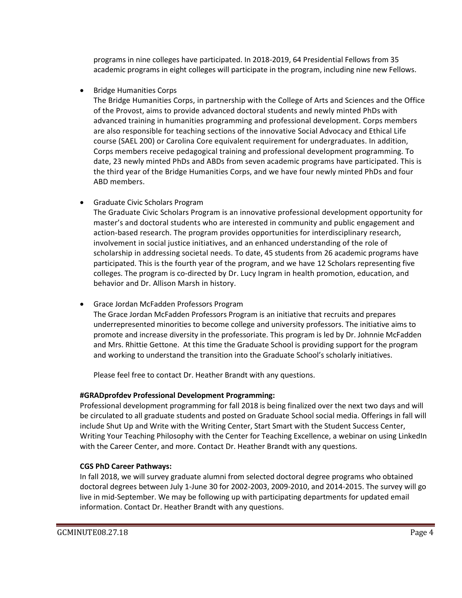programs in nine colleges have participated. In 2018-2019, 64 Presidential Fellows from 35 academic programs in eight colleges will participate in the program, including nine new Fellows.

• Bridge Humanities Corps

The Bridge Humanities Corps, in partnership with the College of Arts and Sciences and the Office of the Provost, aims to provide advanced doctoral students and newly minted PhDs with advanced training in humanities programming and professional development. Corps members are also responsible for teaching sections of the innovative Social Advocacy and Ethical Life course (SAEL 200) or Carolina Core equivalent requirement for undergraduates. In addition, Corps members receive pedagogical training and professional development programming. To date, 23 newly minted PhDs and ABDs from seven academic programs have participated. This is the third year of the Bridge Humanities Corps, and we have four newly minted PhDs and four ABD members.

• Graduate Civic Scholars Program

The Graduate Civic Scholars Program is an innovative professional development opportunity for master's and doctoral students who are interested in community and public engagement and action-based research. The program provides opportunities for interdisciplinary research, involvement in social justice initiatives, and an enhanced understanding of the role of scholarship in addressing societal needs. To date, 45 students from 26 academic programs have participated. This is the fourth year of the program, and we have 12 Scholars representing five colleges. The program is co-directed by Dr. Lucy Ingram in health promotion, education, and behavior and Dr. Allison Marsh in history.

• Grace Jordan McFadden Professors Program

The Grace Jordan McFadden Professors Program is an initiative that recruits and prepares underrepresented minorities to become college and university professors. The initiative aims to promote and increase diversity in the professoriate. This program is led by Dr. Johnnie McFadden and Mrs. Rhittie Gettone. At this time the Graduate School is providing support for the program and working to understand the transition into the Graduate School's scholarly initiatives.

Please feel free to contact Dr. Heather Brandt with any questions.

# **#GRADprofdev Professional Development Programming:**

Professional development programming for fall 2018 is being finalized over the next two days and will be circulated to all graduate students and posted on Graduate School social media. Offerings in fall will include Shut Up and Write with the Writing Center, Start Smart with the Student Success Center, Writing Your Teaching Philosophy with the Center for Teaching Excellence, a webinar on using LinkedIn with the Career Center, and more. Contact Dr. Heather Brandt with any questions.

# **CGS PhD Career Pathways:**

In fall 2018, we will survey graduate alumni from selected doctoral degree programs who obtained doctoral degrees between July 1-June 30 for 2002-2003, 2009-2010, and 2014-2015. The survey will go live in mid-September. We may be following up with participating departments for updated email information. Contact Dr. Heather Brandt with any questions.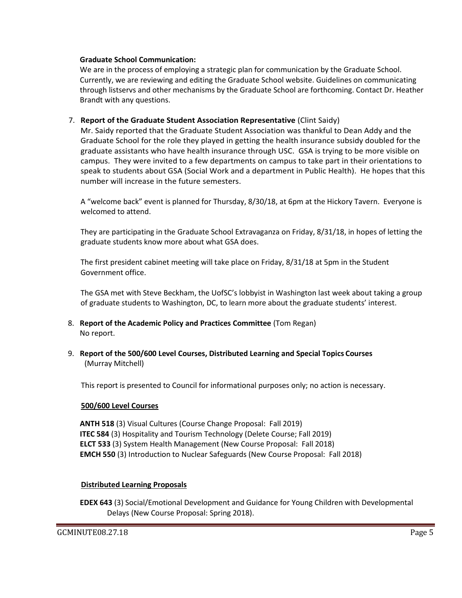#### **Graduate School Communication:**

We are in the process of employing a strategic plan for communication by the Graduate School. Currently, we are reviewing and editing the Graduate School website. Guidelines on communicating through listservs and other mechanisms by the Graduate School are forthcoming. Contact Dr. Heather Brandt with any questions.

### 7. **Report of the Graduate Student Association Representative** (Clint Saidy)

Mr. Saidy reported that the Graduate Student Association was thankful to Dean Addy and the Graduate School for the role they played in getting the health insurance subsidy doubled for the graduate assistants who have health insurance through USC. GSA is trying to be more visible on campus. They were invited to a few departments on campus to take part in their orientations to speak to students about GSA (Social Work and a department in Public Health). He hopes that this number will increase in the future semesters.

A "welcome back" event is planned for Thursday, 8/30/18, at 6pm at the Hickory Tavern. Everyone is welcomed to attend.

They are participating in the Graduate School Extravaganza on Friday, 8/31/18, in hopes of letting the graduate students know more about what GSA does.

The first president cabinet meeting will take place on Friday, 8/31/18 at 5pm in the Student Government office.

The GSA met with Steve Beckham, the UofSC's lobbyist in Washington last week about taking a group of graduate students to Washington, DC, to learn more about the graduate students' interest.

- 8. **Report of the Academic Policy and Practices Committee** (Tom Regan) No report.
- 9. **Report of the 500/600 Level Courses, Distributed Learning and Special Topics Courses** (Murray Mitchell)

This report is presented to Council for informational purposes only; no action is necessary.

### **500/600 Level Courses**

**ANTH 518** (3) Visual Cultures (Course Change Proposal: Fall 2019) **ITEC 584** (3) Hospitality and Tourism Technology (Delete Course; Fall 2019) **ELCT 533** (3) System Health Management (New Course Proposal: Fall 2018) **EMCH 550** (3) Introduction to Nuclear Safeguards (New Course Proposal: Fall 2018)

### **Distributed Learning Proposals**

**EDEX 643** (3) Social/Emotional Development and Guidance for Young Children with Developmental Delays (New Course Proposal: Spring 2018).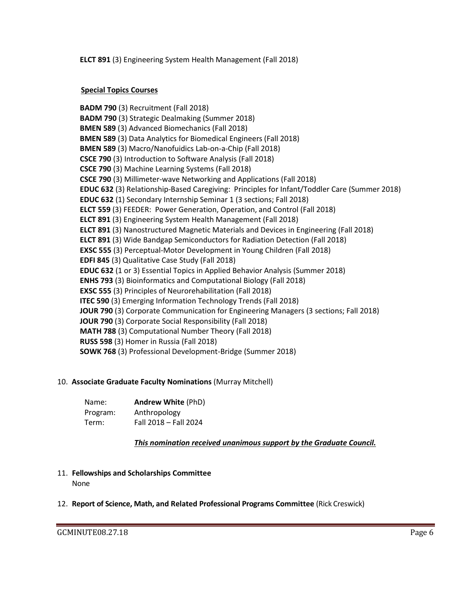**ELCT 891** (3) Engineering System Health Management (Fall 2018)

## **Special Topics Courses**

**BADM 790** (3) Recruitment (Fall 2018) **BADM 790** (3) Strategic Dealmaking (Summer 2018) **BMEN 589** (3) Advanced Biomechanics (Fall 2018) **BMEN 589** (3) Data Analytics for Biomedical Engineers (Fall 2018) **BMEN 589** (3) Macro/Nanofuidics Lab-on-a-Chip (Fall 2018) **CSCE 790** (3) Introduction to Software Analysis (Fall 2018) **CSCE 790** (3) Machine Learning Systems (Fall 2018) **CSCE 790** (3) Millimeter-wave Networking and Applications (Fall 2018) **EDUC 632** (3) Relationship-Based Caregiving: Principles for Infant/Toddler Care (Summer 2018) **EDUC 632** (1) Secondary Internship Seminar 1 (3 sections; Fall 2018) **ELCT 559** (3) FEEDER: Power Generation, Operation, and Control (Fall 2018) **ELCT 891** (3) Engineering System Health Management (Fall 2018) **ELCT 891** (3) Nanostructured Magnetic Materials and Devices in Engineering (Fall 2018) **ELCT 891** (3) Wide Bandgap Semiconductors for Radiation Detection (Fall 2018) **EXSC 555** (3) Perceptual-Motor Development in Young Children (Fall 2018) **EDFI 845** (3) Qualitative Case Study (Fall 2018) **EDUC 632** (1 or 3) Essential Topics in Applied Behavior Analysis (Summer 2018) **ENHS 793** (3) Bioinformatics and Computational Biology (Fall 2018) **EXSC 555** (3) Principles of Neurorehabilitation (Fall 2018) **ITEC 590** (3) Emerging Information Technology Trends (Fall 2018) **JOUR 790** (3) Corporate Communication for Engineering Managers (3 sections; Fall 2018) **JOUR 790** (3) Corporate Social Responsibility (Fall 2018) **MATH 788** (3) Computational Number Theory (Fall 2018) **RUSS 598** (3) Homer in Russia (Fall 2018) **SOWK 768** (3) Professional Development-Bridge (Summer 2018)

## 10. **Associate Graduate Faculty Nominations** (Murray Mitchell)

| Name:    | <b>Andrew White (PhD)</b> |
|----------|---------------------------|
| Program: | Anthropology              |
| Term:    | Fall 2018 - Fall 2024     |

*This nomination received unanimous support by the Graduate Council.*

- 11. **Fellowships and Scholarships Committee**  None
- 12. **Report of Science, Math, and Related Professional Programs Committee** (Rick Creswick)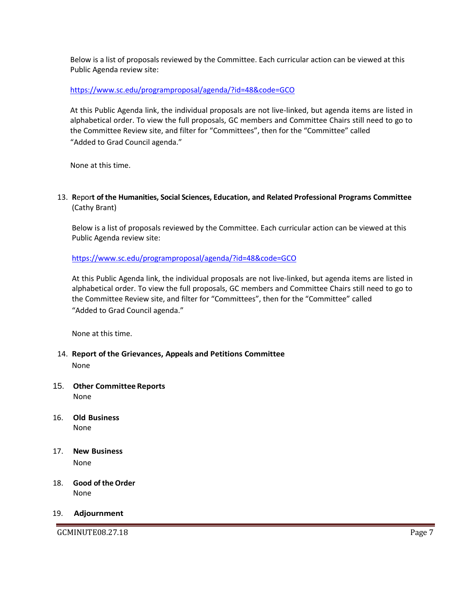Below is a list of proposals reviewed by the Committee. Each curricular action can be viewed at this Public Agenda review site:

### <https://www.sc.edu/programproposal/agenda/?id=48&code=GCO>

At this Public Agenda link, the individual proposals are not live-linked, but agenda items are listed in alphabetical order. To view the full proposals, GC members and Committee Chairs still need to go to the Committee Review site, and filter for "Committees", then for the "Committee" called "Added to Grad Council agenda."

None at this time.

13. **R**epor**t of the Humanities, Social Sciences, Education, and Related Professional Programs Committee**  (Cathy Brant)

Below is a list of proposals reviewed by the Committee. Each curricular action can be viewed at this Public Agenda review site:

## <https://www.sc.edu/programproposal/agenda/?id=48&code=GCO>

At this Public Agenda link, the individual proposals are not live-linked, but agenda items are listed in alphabetical order. To view the full proposals, GC members and Committee Chairs still need to go to the Committee Review site, and filter for "Committees", then for the "Committee" called "Added to Grad Council agenda."

None at this time.

- 14. **Report of the Grievances, Appeals and Petitions Committee**  None
- 15. **Other Committee Reports** None
- 16. **Old Business** None
- 17. **New Business** None
- 18. **Good of the Order** None

### 19. **Adjournment**

GCMINUTE08.27.18 Page 7